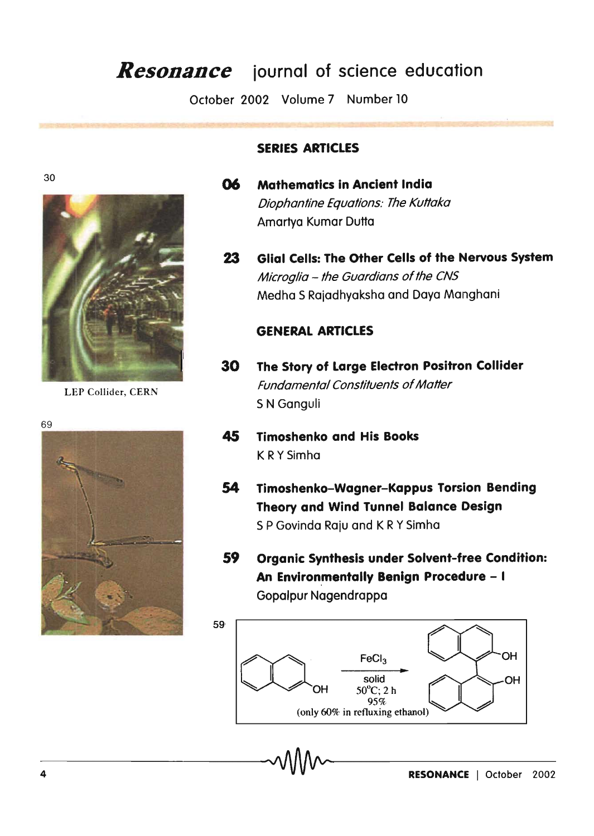# *Resonance* **iournal of science education**

October 2002 Volume 7 Number 10

#### **SERIES ARTICLES**



LEP Collider, CERN



**06 Mathematics in Ancient India**  Diophantine Equations: The Kuttaka Amartya Kumar Dutta

**23 Glial Cells: The Other Cells of the Nervous System**  Microglia - the Guardians of the CNS Medha 5 Rajadhyaksha and Daya Manghani

## **GENERAL ARTICLES**

- **30 The Story of Large Electron Positron Collider** Fundamental Constituents of Matter 5 N Ganguli
- **45 Timoshenko and His Books**  K R Y Simha

-4---------------------------~----------------------------

- **54 Timoshenko-Wagner-Kappus Torsion Bending Theory and Wind Tunnel Balance Design**  5 P Govinda Raju and K R Y Simha
- **59 Organic Synthesis under Solvent-free Condition:**  An Environmentally Benign Procedure - I Gopalpur Nagendrappa